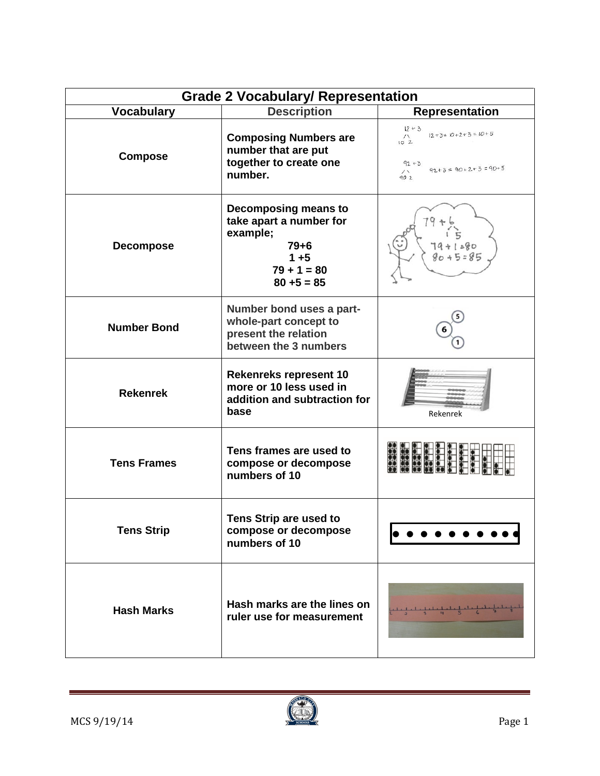| <b>Grade 2 Vocabulary/ Representation</b> |                                                                                                                      |                                                                                                           |  |
|-------------------------------------------|----------------------------------------------------------------------------------------------------------------------|-----------------------------------------------------------------------------------------------------------|--|
| <b>Vocabulary</b>                         | <b>Description</b>                                                                                                   | <b>Representation</b>                                                                                     |  |
| <b>Compose</b>                            | <b>Composing Numbers are</b><br>number that are put<br>together to create one<br>number.                             | $12 + 3$<br>$12 + 3 = 10 + 2 + 3 = 10 + 5$<br>$\sqrt{1}$<br>102<br>$92 + 3$<br>$92+3=90+2+3=90+5$<br>90 2 |  |
| <b>Decompose</b>                          | Decomposing means to<br>take apart a number for<br>example;<br>$79 + 6$<br>$1 + 5$<br>$79 + 1 = 80$<br>$80 + 5 = 85$ | $9 + 1280$<br>$80 + 5 = 85$                                                                               |  |
| <b>Number Bond</b>                        | Number bond uses a part-<br>whole-part concept to<br>present the relation<br>between the 3 numbers                   |                                                                                                           |  |
| <b>Rekenrek</b>                           | <b>Rekenreks represent 10</b><br>more or 10 less used in<br>addition and subtraction for<br>base                     | Rekenrek                                                                                                  |  |
| <b>Tens Frames</b>                        | Tens frames are used to<br>compose or decompose<br>numbers of 10                                                     |                                                                                                           |  |
| <b>Tens Strip</b>                         | Tens Strip are used to<br>compose or decompose<br>numbers of 10                                                      |                                                                                                           |  |
| <b>Hash Marks</b>                         | Hash marks are the lines on<br>ruler use for measurement                                                             |                                                                                                           |  |



 $\sim$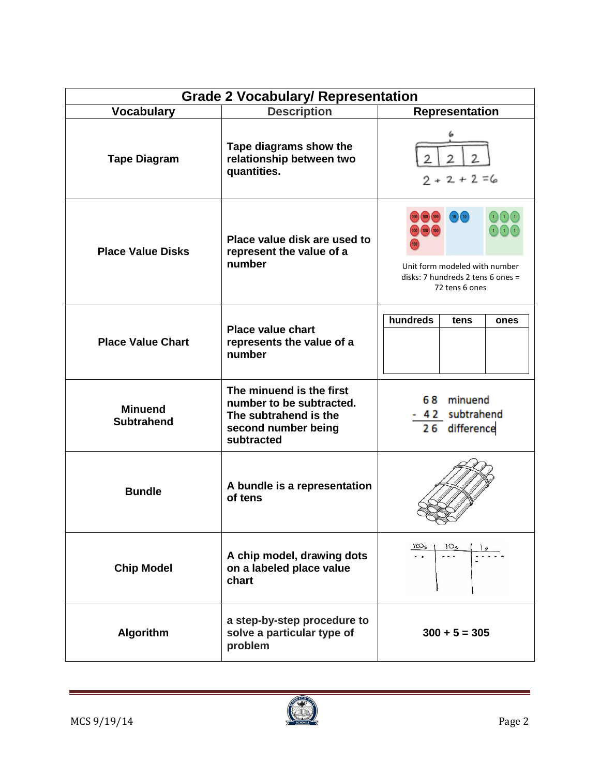| <b>Grade 2 Vocabulary/ Representation</b> |                                                                                                                    |                                                                                                                                                       |  |  |
|-------------------------------------------|--------------------------------------------------------------------------------------------------------------------|-------------------------------------------------------------------------------------------------------------------------------------------------------|--|--|
| <b>Vocabulary</b>                         | <b>Description</b>                                                                                                 | Representation                                                                                                                                        |  |  |
| <b>Tape Diagram</b>                       | Tape diagrams show the<br>relationship between two<br>quantities.                                                  | $2 + 2 + 2 = 6$                                                                                                                                       |  |  |
| <b>Place Value Disks</b>                  | Place value disk are used to<br>represent the value of a<br>number                                                 | $\bigodot$ $\bigodot$ $\bigodot$<br>(10)<br>$\bigcap_{i=1}^n$<br>Unit form modeled with number<br>disks: 7 hundreds 2 tens 6 ones =<br>72 tens 6 ones |  |  |
| <b>Place Value Chart</b>                  | <b>Place value chart</b><br>represents the value of a<br>number                                                    | hundreds<br>tens<br>ones                                                                                                                              |  |  |
| <b>Minuend</b><br><b>Subtrahend</b>       | The minuend is the first<br>number to be subtracted.<br>The subtrahend is the<br>second number being<br>subtracted | 68 minuend<br>- 42 subtrahend<br>26 difference                                                                                                        |  |  |
| <b>Bundle</b>                             | A bundle is a representation<br>of tens                                                                            |                                                                                                                                                       |  |  |
| <b>Chip Model</b>                         | A chip model, drawing dots<br>on a labeled place value<br>chart                                                    |                                                                                                                                                       |  |  |
| <b>Algorithm</b>                          | a step-by-step procedure to<br>solve a particular type of<br>problem                                               | $300 + 5 = 305$                                                                                                                                       |  |  |